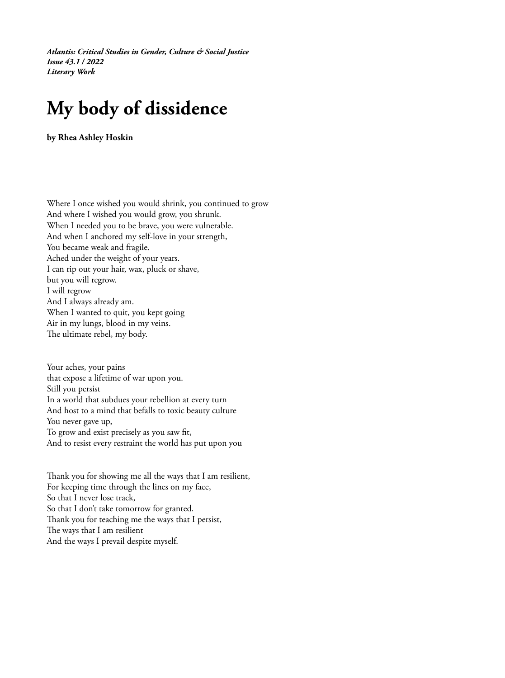*Atlantis: Critical Studies in Gender, Culture & Social Justice Issue 43.1 / 2022 Literary Work*

## **My body of dissidence**

**by Rhea Ashley Hoskin**

Where I once wished you would shrink, you continued to grow And where I wished you would grow, you shrunk. When I needed you to be brave, you were vulnerable. And when I anchored my self-love in your strength, You became weak and fragile. Ached under the weight of your years. I can rip out your hair, wax, pluck or shave, but you will regrow. I will regrow And I always already am. When I wanted to quit, you kept going Air in my lungs, blood in my veins. The ultimate rebel, my body.

Your aches, your pains that expose a lifetime of war upon you. Still you persist In a world that subdues your rebellion at every turn And host to a mind that befalls to toxic beauty culture You never gave up, To grow and exist precisely as you saw fit, And to resist every restraint the world has put upon you

Thank you for showing me all the ways that I am resilient, For keeping time through the lines on my face, So that I never lose track, So that I don't take tomorrow for granted. Thank you for teaching me the ways that I persist, The ways that I am resilient And the ways I prevail despite myself.